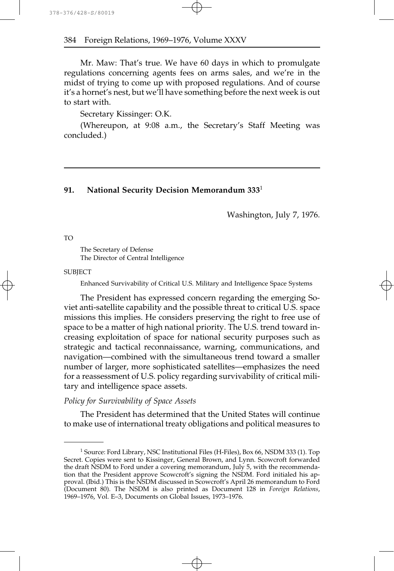Mr. Maw: That's true. We have 60 days in which to promulgate regulations concerning agents fees on arms sales, and we're in the midst of trying to come up with proposed regulations. And of course it's a hornet's nest, but we'll have something before the next week is out to start with.

Secretary Kissinger: O.K.

(Whereupon, at 9:08 a.m., the Secretary's Staff Meeting was concluded.)

## **91. National Security Decision Memorandum 333**<sup>1</sup>

Washington, July 7, 1976.

TO

The Secretary of Defense The Director of Central Intelligence

**SUBJECT** 

Enhanced Survivability of Critical U.S. Military and Intelligence Space Systems

The President has expressed concern regarding the emerging Soviet anti-satellite capability and the possible threat to critical U.S. space missions this implies. He considers preserving the right to free use of space to be a matter of high national priority. The U.S. trend toward increasing exploitation of space for national security purposes such as strategic and tactical reconnaissance, warning, communications, and navigation—combined with the simultaneous trend toward a smaller number of larger, more sophisticated satellites—emphasizes the need for a reassessment of U.S. policy regarding survivability of critical military and intelligence space assets.

## *Policy for Survivability of Space Assets*

The President has determined that the United States will continue to make use of international treaty obligations and political measures to

<sup>&</sup>lt;sup>1</sup> Source: Ford Library, NSC Institutional Files (H-Files), Box 66, NSDM 333 (1). Top Secret. Copies were sent to Kissinger, General Brown, and Lynn. Scowcroft forwarded the draft NSDM to Ford under a covering memorandum, July 5, with the recommendation that the President approve Scowcroft's signing the NSDM. Ford initialed his approval. (Ibid.) This is the NSDM discussed in Scowcroft's April 26 memorandum to Ford (Document 80). The NSDM is also printed as Document 128 in *Foreign Relations*, 1969–1976, Vol. E–3, Documents on Global Issues, 1973–1976.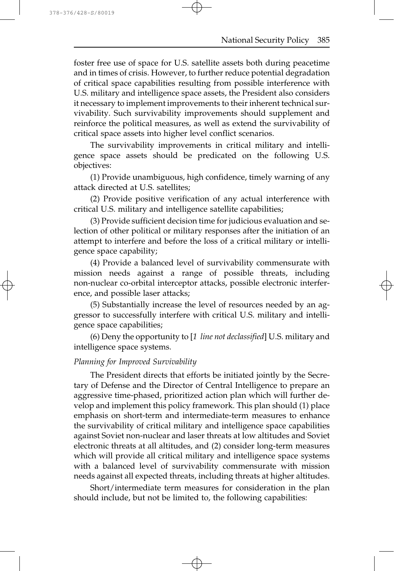foster free use of space for U.S. satellite assets both during peacetime and in times of crisis. However, to further reduce potential degradation of critical space capabilities resulting from possible interference with U.S. military and intelligence space assets, the President also considers it necessary to implement improvements to their inherent technical survivability. Such survivability improvements should supplement and reinforce the political measures, as well as extend the survivability of critical space assets into higher level conflict scenarios.

The survivability improvements in critical military and intelligence space assets should be predicated on the following U.S. objectives:

(1) Provide unambiguous, high confidence, timely warning of any attack directed at U.S. satellites;

(2) Provide positive verification of any actual interference with critical U.S. military and intelligence satellite capabilities;

(3) Provide sufficient decision time for judicious evaluation and selection of other political or military responses after the initiation of an attempt to interfere and before the loss of a critical military or intelligence space capability;

(4) Provide a balanced level of survivability commensurate with mission needs against a range of possible threats, including non-nuclear co-orbital interceptor attacks, possible electronic interference, and possible laser attacks;

(5) Substantially increase the level of resources needed by an aggressor to successfully interfere with critical U.S. military and intelligence space capabilities;

(6) Deny the opportunity to [*1 line not declassified*] U.S. military and intelligence space systems.

## *Planning for Improved Survivability*

The President directs that efforts be initiated jointly by the Secretary of Defense and the Director of Central Intelligence to prepare an aggressive time-phased, prioritized action plan which will further develop and implement this policy framework. This plan should (1) place emphasis on short-term and intermediate-term measures to enhance the survivability of critical military and intelligence space capabilities against Soviet non-nuclear and laser threats at low altitudes and Soviet electronic threats at all altitudes, and (2) consider long-term measures which will provide all critical military and intelligence space systems with a balanced level of survivability commensurate with mission needs against all expected threats, including threats at higher altitudes.

Short/intermediate term measures for consideration in the plan should include, but not be limited to, the following capabilities: